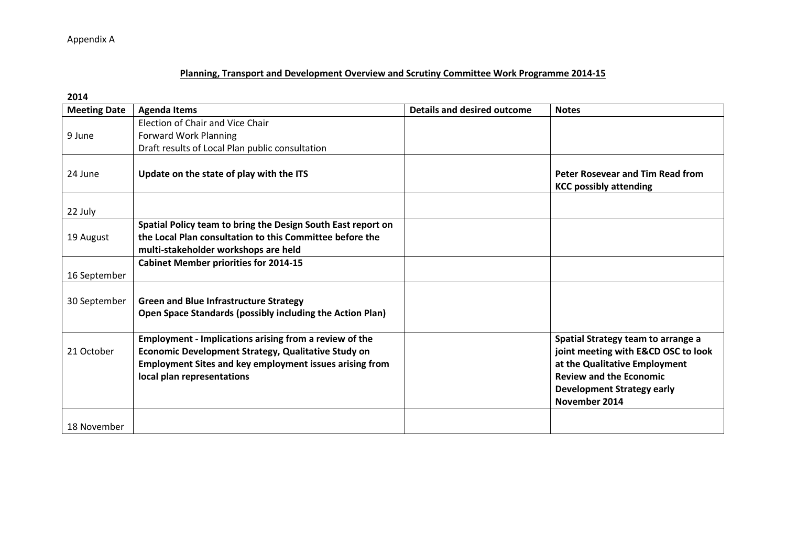Appendix A

## **Planning, Transport and Development Overview and Scrutiny Committee Work Programme 2014-15**

**2014** 

| <b>Meeting Date</b> | <b>Agenda Items</b>                                                                                                                                                                                                  | <b>Details and desired outcome</b>                                                                                                                                                                 | <b>Notes</b>                                                             |
|---------------------|----------------------------------------------------------------------------------------------------------------------------------------------------------------------------------------------------------------------|----------------------------------------------------------------------------------------------------------------------------------------------------------------------------------------------------|--------------------------------------------------------------------------|
|                     | Election of Chair and Vice Chair                                                                                                                                                                                     |                                                                                                                                                                                                    |                                                                          |
| 9 June              | <b>Forward Work Planning</b>                                                                                                                                                                                         |                                                                                                                                                                                                    |                                                                          |
|                     | Draft results of Local Plan public consultation                                                                                                                                                                      |                                                                                                                                                                                                    |                                                                          |
| 24 June             | Update on the state of play with the ITS                                                                                                                                                                             |                                                                                                                                                                                                    | <b>Peter Rosevear and Tim Read from</b><br><b>KCC possibly attending</b> |
| 22 July             |                                                                                                                                                                                                                      |                                                                                                                                                                                                    |                                                                          |
|                     | Spatial Policy team to bring the Design South East report on                                                                                                                                                         |                                                                                                                                                                                                    |                                                                          |
| 19 August           | the Local Plan consultation to this Committee before the                                                                                                                                                             |                                                                                                                                                                                                    |                                                                          |
|                     | multi-stakeholder workshops are held                                                                                                                                                                                 |                                                                                                                                                                                                    |                                                                          |
|                     | <b>Cabinet Member priorities for 2014-15</b>                                                                                                                                                                         |                                                                                                                                                                                                    |                                                                          |
| 16 September        |                                                                                                                                                                                                                      |                                                                                                                                                                                                    |                                                                          |
| 30 September        | <b>Green and Blue Infrastructure Strategy</b><br>Open Space Standards (possibly including the Action Plan)                                                                                                           |                                                                                                                                                                                                    |                                                                          |
| 21 October          | <b>Employment - Implications arising from a review of the</b><br>Economic Development Strategy, Qualitative Study on<br><b>Employment Sites and key employment issues arising from</b><br>local plan representations | Spatial Strategy team to arrange a<br>joint meeting with E&CD OSC to look<br>at the Qualitative Employment<br><b>Review and the Economic</b><br><b>Development Strategy early</b><br>November 2014 |                                                                          |
| 18 November         |                                                                                                                                                                                                                      |                                                                                                                                                                                                    |                                                                          |